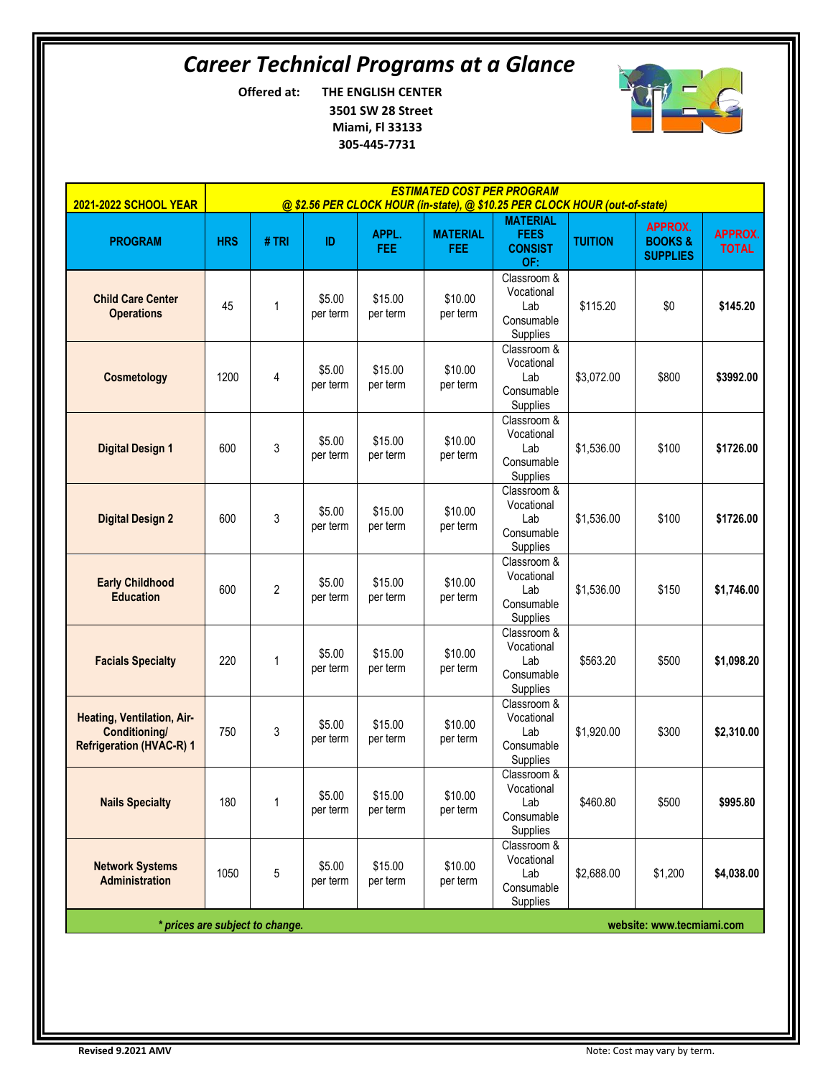# *Career Technical Programs at a Glance*

**Offered at: THE ENGLISH CENTER 3501 SW 28 Street Miami, Fl 33133 305-445-7731**



| <b>2021-2022 SCHOOL YEAR</b>                                                   | <b>ESTIMATED COST PER PROGRAM</b><br>@ \$2.56 PER CLOCK HOUR (in-state), @ \$10.25 PER CLOCK HOUR (out-of-state) |                |                    |                     |                               |                                                            |                |                                                        |                                |
|--------------------------------------------------------------------------------|------------------------------------------------------------------------------------------------------------------|----------------|--------------------|---------------------|-------------------------------|------------------------------------------------------------|----------------|--------------------------------------------------------|--------------------------------|
| <b>PROGRAM</b>                                                                 | <b>HRS</b>                                                                                                       | #TRI           | ID                 | APPL.<br>FEE:       | <b>MATERIAL</b><br><b>FEE</b> | <b>MATERIAL</b><br><b>FEES</b><br><b>CONSIST</b><br>OF:    | <b>TUITION</b> | <b>APPROX.</b><br><b>BOOKS&amp;</b><br><b>SUPPLIES</b> | <b>APPROX.</b><br><b>TOTAL</b> |
| <b>Child Care Center</b><br><b>Operations</b>                                  | 45                                                                                                               | $\mathbf{1}$   | \$5.00<br>per term | \$15.00<br>per term | \$10.00<br>per term           | Classroom &<br>Vocational<br>Lab<br>Consumable<br>Supplies | \$115.20       | \$0                                                    | \$145.20                       |
| Cosmetology                                                                    | 1200                                                                                                             | 4              | \$5.00<br>per term | \$15.00<br>per term | \$10.00<br>per term           | Classroom &<br>Vocational<br>Lab<br>Consumable<br>Supplies | \$3,072.00     | \$800                                                  | \$3992.00                      |
| <b>Digital Design 1</b>                                                        | 600                                                                                                              | 3              | \$5.00<br>per term | \$15.00<br>per term | \$10.00<br>per term           | Classroom &<br>Vocational<br>Lab<br>Consumable<br>Supplies | \$1,536.00     | \$100                                                  | \$1726.00                      |
| <b>Digital Design 2</b>                                                        | 600                                                                                                              | 3              | \$5.00<br>per term | \$15.00<br>per term | \$10.00<br>per term           | Classroom &<br>Vocational<br>Lab<br>Consumable<br>Supplies | \$1,536.00     | \$100                                                  | \$1726.00                      |
| <b>Early Childhood</b><br><b>Education</b>                                     | 600                                                                                                              | $\overline{c}$ | \$5.00<br>per term | \$15.00<br>per term | \$10.00<br>per term           | Classroom &<br>Vocational<br>Lab<br>Consumable<br>Supplies | \$1,536.00     | \$150                                                  | \$1,746.00                     |
| <b>Facials Specialty</b>                                                       | 220                                                                                                              | 1              | \$5.00<br>per term | \$15.00<br>per term | \$10.00<br>per term           | Classroom &<br>Vocational<br>Lab<br>Consumable<br>Supplies | \$563.20       | \$500                                                  | \$1,098.20                     |
| Heating, Ventilation, Air-<br>Conditioning/<br><b>Refrigeration (HVAC-R) 1</b> | 750                                                                                                              | 3              | \$5.00<br>per term | \$15.00<br>per term | \$10.00<br>per term           | Classroom &<br>Vocational<br>Lab<br>Consumable<br>Supplies | \$1,920.00     | \$300                                                  | \$2,310.00                     |
| <b>Nails Specialty</b>                                                         | 180                                                                                                              | 1              | \$5.00<br>per term | \$15.00<br>per term | \$10.00<br>per term           | Classroom &<br>Vocational<br>Lab<br>Consumable<br>Supplies | \$460.80       | \$500                                                  | \$995.80                       |
| <b>Network Systems</b><br><b>Administration</b>                                | 1050                                                                                                             | $\mathbf 5$    | \$5.00<br>per term | \$15.00<br>per term | \$10.00<br>per term           | Classroom &<br>Vocational<br>Lab<br>Consumable<br>Supplies | \$2,688.00     | \$1,200                                                | \$4,038.00                     |
| * prices are subject to change.<br>website: www.tecmiami.com                   |                                                                                                                  |                |                    |                     |                               |                                                            |                |                                                        |                                |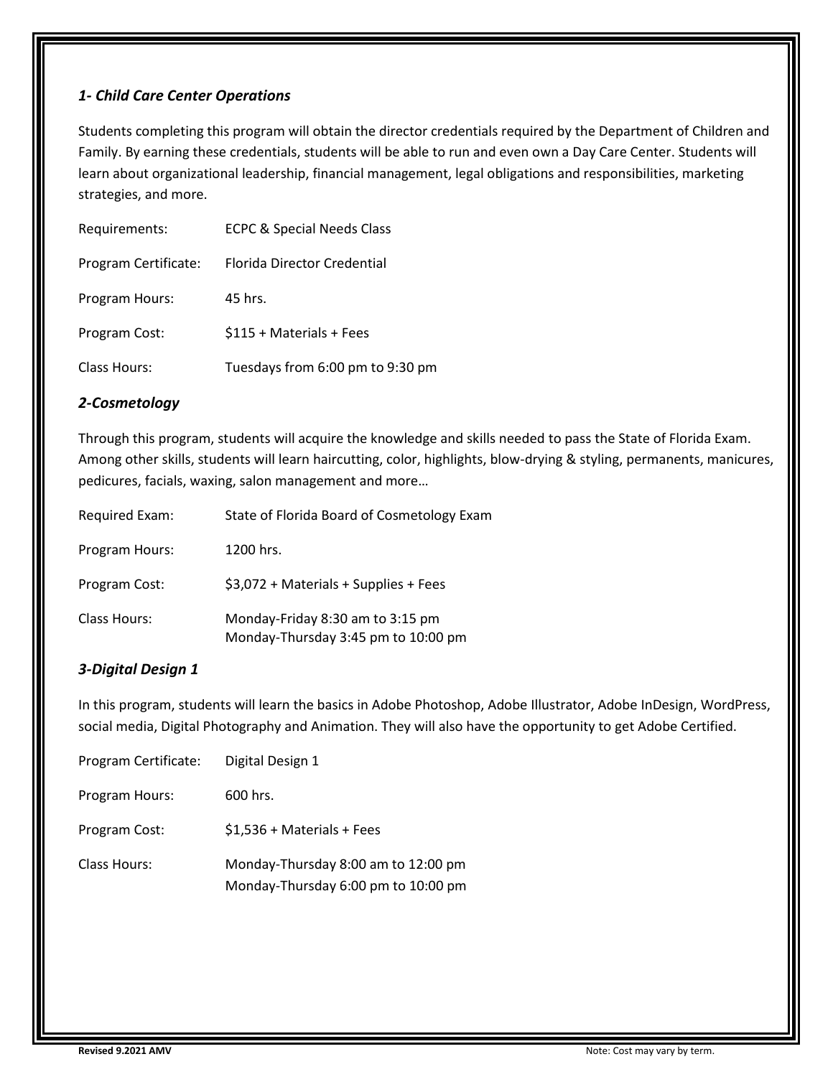#### *1- Child Care Center Operations*

Students completing this program will obtain the director credentials required by the Department of Children and Family. By earning these credentials, students will be able to run and even own a Day Care Center. Students will learn about organizational leadership, financial management, legal obligations and responsibilities, marketing strategies, and more.

| Requirements:        | <b>ECPC &amp; Special Needs Class</b> |
|----------------------|---------------------------------------|
| Program Certificate: | Florida Director Credential           |
| Program Hours:       | 45 hrs.                               |
| Program Cost:        | \$115 + Materials + Fees              |
| <b>Class Hours:</b>  | Tuesdays from 6:00 pm to 9:30 pm      |

#### *2-Cosmetology*

Through this program, students will acquire the knowledge and skills needed to pass the State of Florida Exam. Among other skills, students will learn haircutting, color, highlights, blow-drying & styling, permanents, manicures, pedicures, facials, waxing, salon management and more…

| Required Exam: | State of Florida Board of Cosmetology Exam                              |
|----------------|-------------------------------------------------------------------------|
| Program Hours: | 1200 hrs.                                                               |
| Program Cost:  | \$3,072 + Materials + Supplies + Fees                                   |
| Class Hours:   | Monday-Friday 8:30 am to 3:15 pm<br>Monday-Thursday 3:45 pm to 10:00 pm |

# *3-Digital Design 1*

In this program, students will learn the basics in Adobe Photoshop, Adobe Illustrator, Adobe InDesign, WordPress, social media, Digital Photography and Animation. They will also have the opportunity to get Adobe Certified.

| Program Certificate: | Digital Design 1                                                           |
|----------------------|----------------------------------------------------------------------------|
| Program Hours:       | 600 hrs.                                                                   |
| Program Cost:        | \$1,536 + Materials + Fees                                                 |
| <b>Class Hours:</b>  | Monday-Thursday 8:00 am to 12:00 pm<br>Monday-Thursday 6:00 pm to 10:00 pm |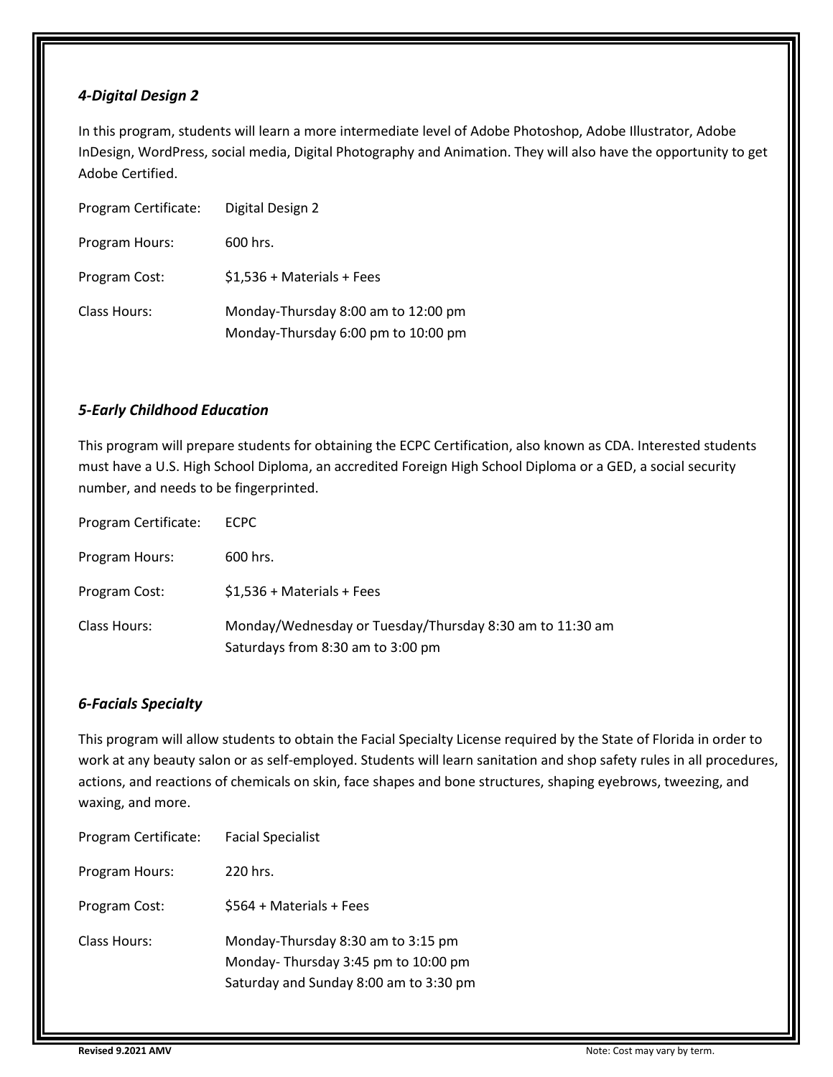#### *4-Digital Design 2*

In this program, students will learn a more intermediate level of Adobe Photoshop, Adobe Illustrator, Adobe InDesign, WordPress, social media, Digital Photography and Animation. They will also have the opportunity to get Adobe Certified.

| Program Certificate: | Digital Design 2                                                           |
|----------------------|----------------------------------------------------------------------------|
| Program Hours:       | 600 hrs.                                                                   |
| Program Cost:        | $$1,536 + Materials + Fees$                                                |
| <b>Class Hours:</b>  | Monday-Thursday 8:00 am to 12:00 pm<br>Monday-Thursday 6:00 pm to 10:00 pm |

#### *5-Early Childhood Education*

This program will prepare students for obtaining the ECPC Certification, also known as CDA. Interested students must have a U.S. High School Diploma, an accredited Foreign High School Diploma or a GED, a social security number, and needs to be fingerprinted.

| Program Certificate: | <b>ECPC</b>                                                                                   |
|----------------------|-----------------------------------------------------------------------------------------------|
| Program Hours:       | 600 hrs.                                                                                      |
| Program Cost:        | $$1,536 + Materials + Fees$                                                                   |
| Class Hours:         | Monday/Wednesday or Tuesday/Thursday 8:30 am to 11:30 am<br>Saturdays from 8:30 am to 3:00 pm |

# *6-Facials Specialty*

This program will allow students to obtain the Facial Specialty License required by the State of Florida in order to work at any beauty salon or as self-employed. Students will learn sanitation and shop safety rules in all procedures, actions, and reactions of chemicals on skin, face shapes and bone structures, shaping eyebrows, tweezing, and waxing, and more.

| Program Certificate: | <b>Facial Specialist</b>                                                                                            |
|----------------------|---------------------------------------------------------------------------------------------------------------------|
| Program Hours:       | 220 hrs.                                                                                                            |
| Program Cost:        | \$564 + Materials + Fees                                                                                            |
| Class Hours:         | Monday-Thursday 8:30 am to 3:15 pm<br>Monday-Thursday 3:45 pm to 10:00 pm<br>Saturday and Sunday 8:00 am to 3:30 pm |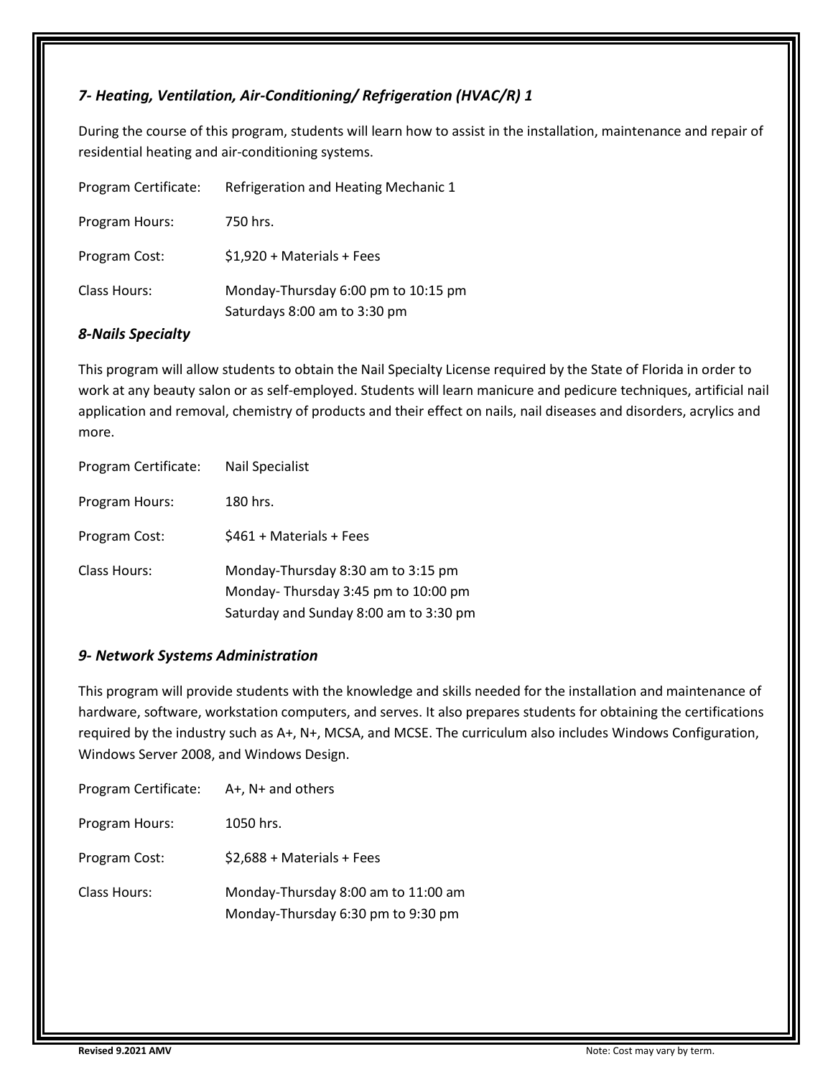### *7- Heating, Ventilation, Air-Conditioning/ Refrigeration (HVAC/R) 1*

During the course of this program, students will learn how to assist in the installation, maintenance and repair of residential heating and air-conditioning systems.

| Program Certificate: | Refrigeration and Heating Mechanic 1                                |
|----------------------|---------------------------------------------------------------------|
| Program Hours:       | 750 hrs.                                                            |
| Program Cost:        | $$1,920 + Materials + Fees$                                         |
| Class Hours:         | Monday-Thursday 6:00 pm to 10:15 pm<br>Saturdays 8:00 am to 3:30 pm |

#### *8-Nails Specialty*

This program will allow students to obtain the Nail Specialty License required by the State of Florida in order to work at any beauty salon or as self-employed. Students will learn manicure and pedicure techniques, artificial nail application and removal, chemistry of products and their effect on nails, nail diseases and disorders, acrylics and more.

| Program Certificate: | <b>Nail Specialist</b>                                                                                              |
|----------------------|---------------------------------------------------------------------------------------------------------------------|
| Program Hours:       | 180 hrs.                                                                                                            |
| Program Cost:        | \$461 + Materials + Fees                                                                                            |
| <b>Class Hours:</b>  | Monday-Thursday 8:30 am to 3:15 pm<br>Monday-Thursday 3:45 pm to 10:00 pm<br>Saturday and Sunday 8:00 am to 3:30 pm |

#### *9- Network Systems Administration*

This program will provide students with the knowledge and skills needed for the installation and maintenance of hardware, software, workstation computers, and serves. It also prepares students for obtaining the certifications required by the industry such as A+, N+, MCSA, and MCSE. The curriculum also includes Windows Configuration, Windows Server 2008, and Windows Design.

| Program Certificate: | $A+$ , $N+$ and others                                                    |
|----------------------|---------------------------------------------------------------------------|
| Program Hours:       | 1050 hrs.                                                                 |
| Program Cost:        | $$2,688 + Materials + Fees$                                               |
| <b>Class Hours:</b>  | Monday-Thursday 8:00 am to 11:00 am<br>Monday-Thursday 6:30 pm to 9:30 pm |